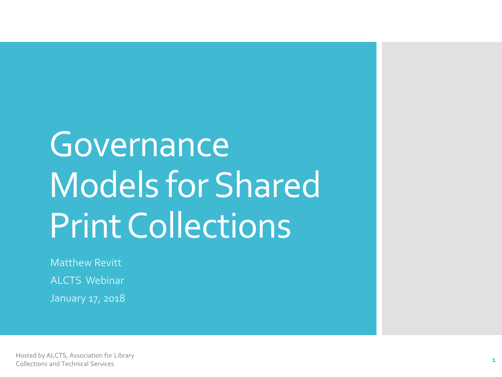# Governance Models for Shared Print Collections

Matthew Revitt ALCTS Webinar January 17, 2018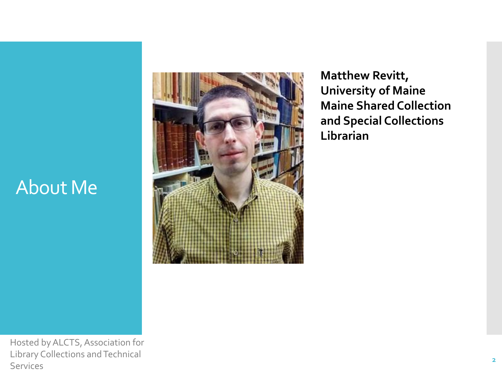## About Me



**Matthew Revitt, University of Maine Maine Shared Collection and Special Collections Librarian**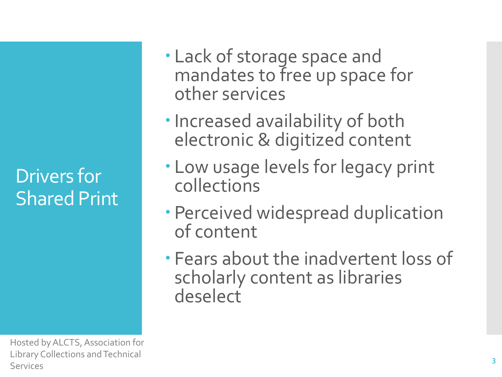Drivers for Shared Print

- Lack of storage space and mandates to free up space for other services
- Increased availability of both electronic & digitized content
- Low usage levels for legacy print collections
- Perceived widespread duplication of content
- Fears about the inadvertent loss of scholarly content as libraries deselect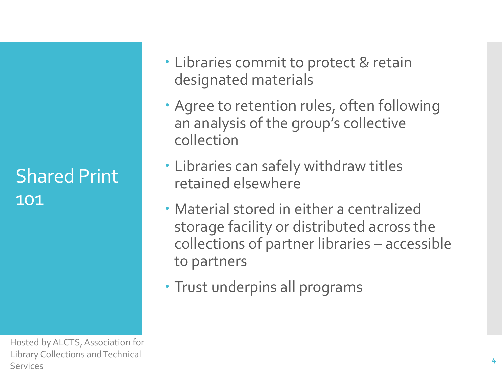### Shared Print 101

- Libraries commit to protect & retain designated materials
- Agree to retention rules, often following an analysis of the group's collective collection
- Libraries can safely withdraw titles retained elsewhere
- Material stored in either a centralized storage facility or distributed across the collections of partner libraries – accessible to partners
- Trust underpins all programs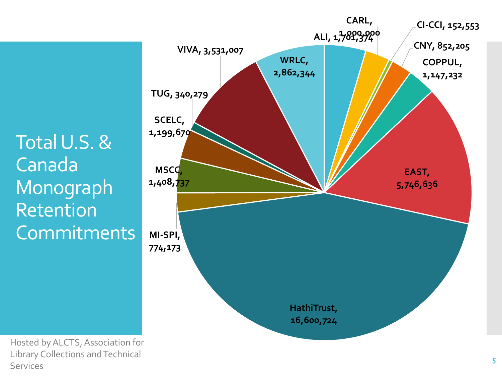Total U.S. & Canada Monograph Retention **Commitments** 

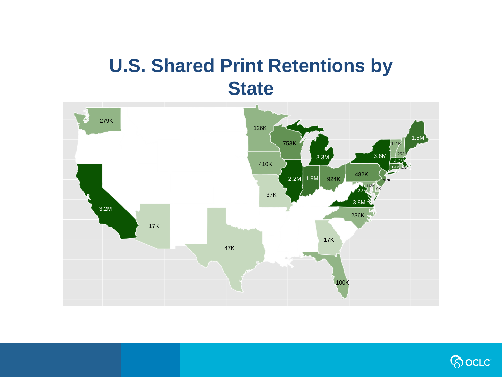### **U.S. Shared Print Retentions by State**



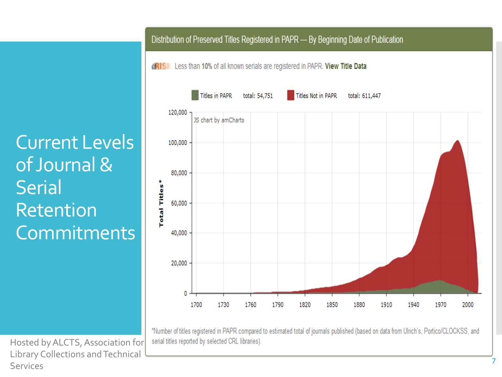Current Levels of Journal & **Serial** Retention **Commitments** 

#### Distribution of Preserved Titles Registered in PAPR - By Beginning Date of Publication

**GRISK** Less than 10% of all known serials are registered in PAPR. View Title Data



\*Number of titles registered in PAPR compared to estimated total of journals published (based on data from Ulrich's, Portico/CLOCKSS, and serial titles reported by selected CRL libraries).

Hosted by ALCTS, Association for Library Collections and Technical Services

**7**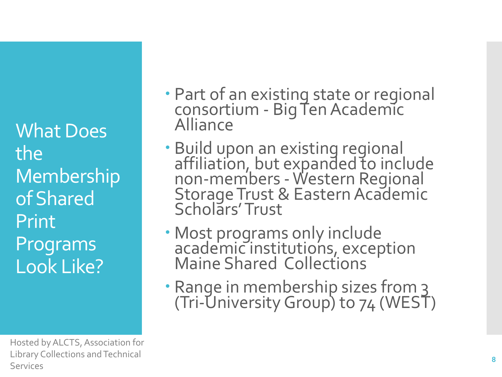What Does the Membership of Shared Print Programs Look Like?

- Part of an existing state or regional consortium - Big Ten Academic Alliance
- Build upon an existing regional affiliation, but expanded to include non-members -Western Regional Storage Trust & Eastern Academic Scholars' Trust
- Most programs only include academic institutions, exception Maine Shared Collections
- · Range in membership sizes from 3 (Tri-University Group) to 74 (WEST)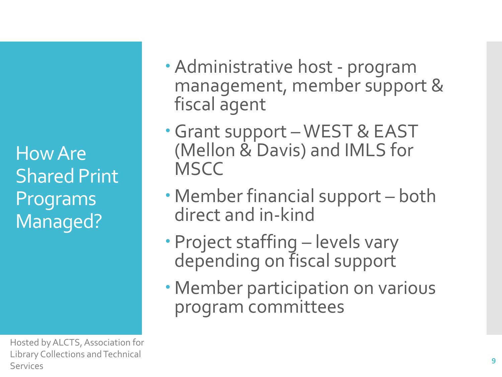How Are Shared Print Programs Managed?

- Administrative host program management, member support & fiscal agent
- Grant support WEST & EAST (Mellon & Davis) and IMLS for **MSCC**
- Member financial support both direct and in-kind
- Project staffing levels vary depending on fiscal support
- Member participation on various program committees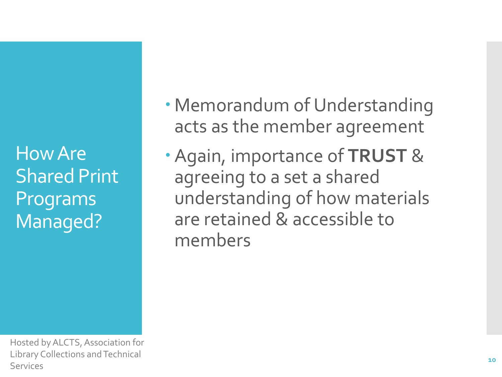How Are Shared Print Programs Managed?

- Memorandum of Understanding acts as the member agreement
- Again, importance of **TRUST** & agreeing to a set a shared understanding of how materials are retained & accessible to members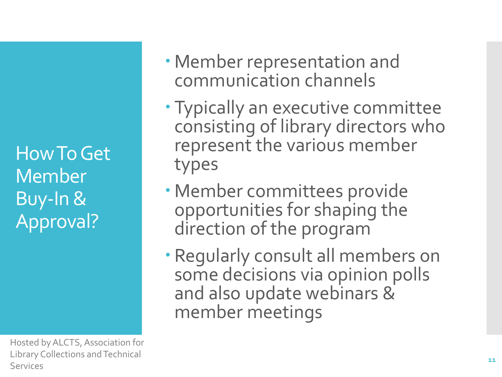How To Get Member Buy-In & Approval?

- Member representation and communication channels
- Typically an executive committee consisting of library directors who represent the various member types
- Member committees provide opportunities for shaping the direction of the program
- Regularly consult all members on some decisions via opinion polls and also update webinars & member meetings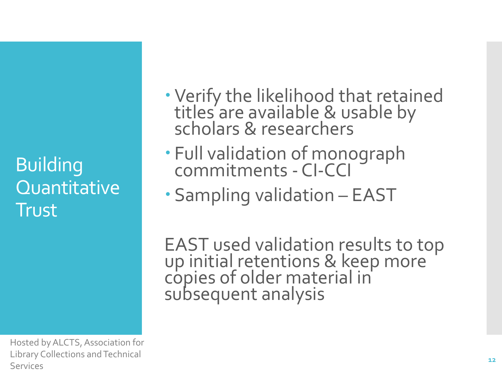Building **Quantitative Trust** 

Hosted by ALCTS, Association for Library Collections and Technical Services

- Verify the likelihood that retained titles are available & usable by scholars & researchers
- Full validation of monograph commitments - CI-CCI
- Sampling validation EAST

EAST used validation results to top up initial retentions & keep more copies of older material in subsequent analysis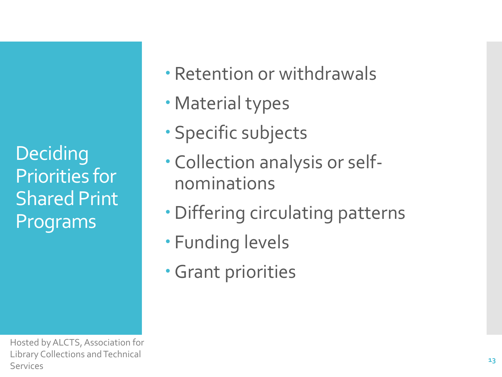**Deciding** Priorities for Shared Print Programs

Retention or withdrawals

- Material types
- Specific subjects
- Collection analysis or selfnominations
- Differing circulating patterns
- Funding levels
- Grant priorities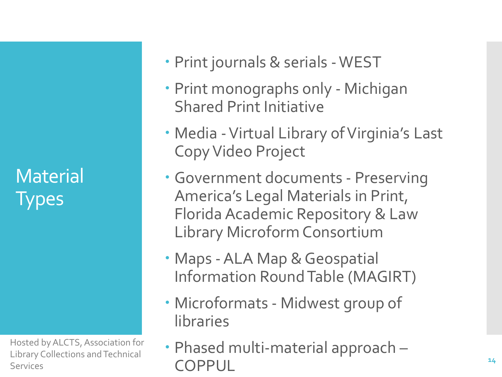**Material Types** 

- Print journals & serials -WEST
- Print monographs only Michigan Shared Print Initiative
- Media -Virtual Library of Virginia's Last Copy Video Project
- Government documents Preserving America's Legal Materials in Print, Florida Academic Repository & Law Library Microform Consortium
- Maps -ALA Map & Geospatial Information Round Table (MAGIRT)
- Microformats Midwest group of libraries
- Phased multi-material approach COPPUL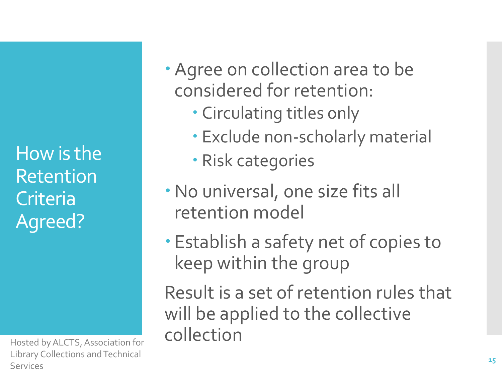How is the Retention Criteria Agreed?

Library Collections and Technical Services

Agree on collection area to be considered for retention:

- Circulating titles only
- Exclude non-scholarly material
- Risk categories
- No universal, one size fits all retention model
- Establish a safety net of copies to keep within the group

Result is a set of retention rules that will be applied to the collective Hosted by ALCTS, Association for **collection**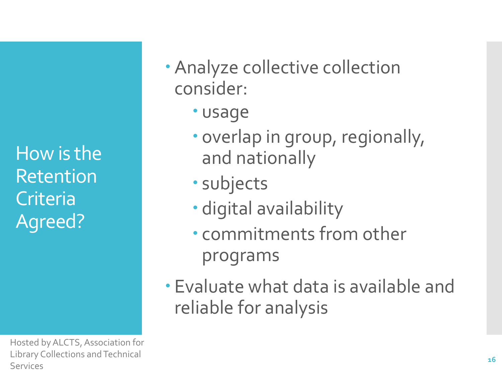How is the Retention **Criteria** Agreed?

- Analyze collective collection consider:
	- usage
	- overlap in group, regionally, and nationally
	- subjects
	- digital availability
	- commitments from other programs
- Evaluate what data is available and reliable for analysis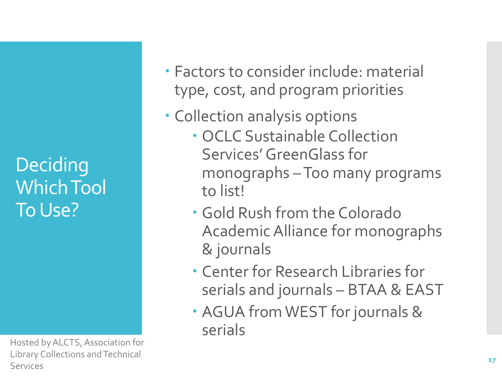**Deciding** Which Tool To Use?

- Factors to consider include: material type, cost, and program priorities
- Collection analysis options
	- OCLC Sustainable Collection Services' GreenGlass for monographs –Too many programs to list!
	- Gold Rush from the Colorado Academic Alliance for monographs & journals
	- Center for Research Libraries for serials and journals – BTAA & EAST
	- AGUA from WEST for journals & serials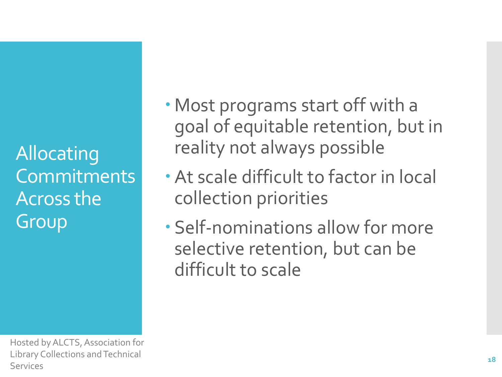Allocating Commitments Across the Group

- Most programs start off with a goal of equitable retention, but in reality not always possible
- At scale difficult to factor in local collection priorities
- Self-nominations allow for more selective retention, but can be difficult to scale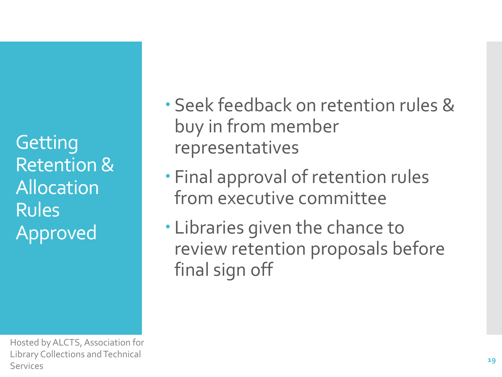**Getting** Retention & Allocation Rules Approved

- Seek feedback on retention rules & buy in from member representatives
- Final approval of retention rules from executive committee
- Libraries given the chance to review retention proposals before final sign off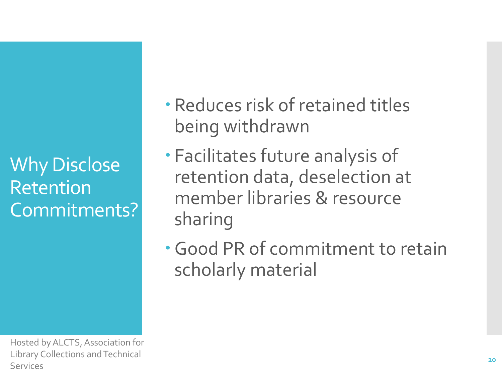Why Disclose Retention Commitments?

- Reduces risk of retained titles being withdrawn
- Facilitates future analysis of retention data, deselection at member libraries & resource sharing
- Good PR of commitment to retain scholarly material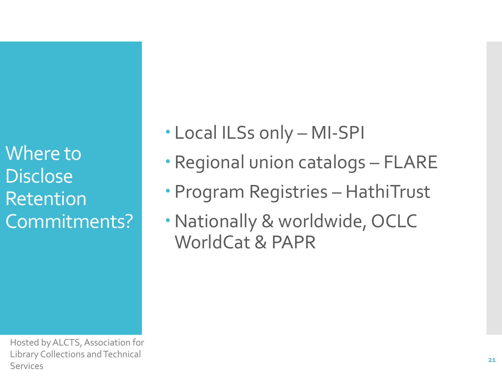Where to **Disclose** Retention Commitments?

- Local ILSs only MI-SPI
- Regional union catalogs FLARE
- Program Registries HathiTrust
- Nationally & worldwide, OCLC WorldCat & PAPR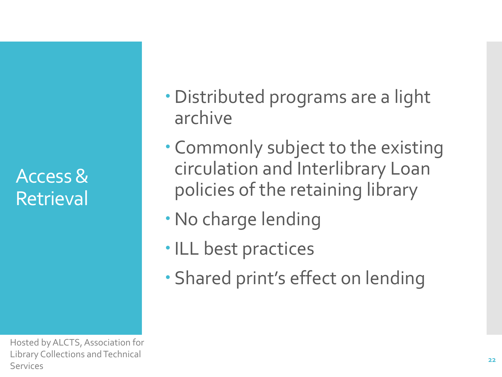Access & Retrieval

- Distributed programs are a light archive
- Commonly subject to the existing circulation and Interlibrary Loan policies of the retaining library
- No charge lending
- ILL best practices
- Shared print's effect on lending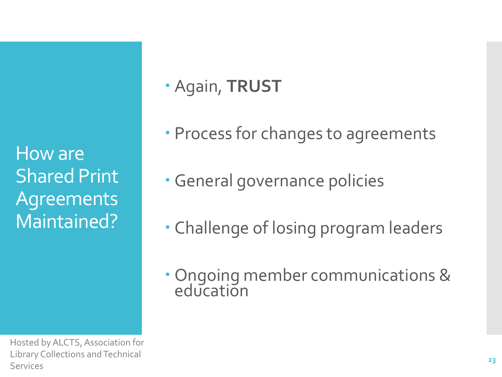How are Shared Print Agreements Maintained?

Hosted by ALCTS, Association for Library Collections and Technical Services

### Again, **TRUST**

- Process for changes to agreements
- General governance policies
- Challenge of losing program leaders
- Ongoing member communications & education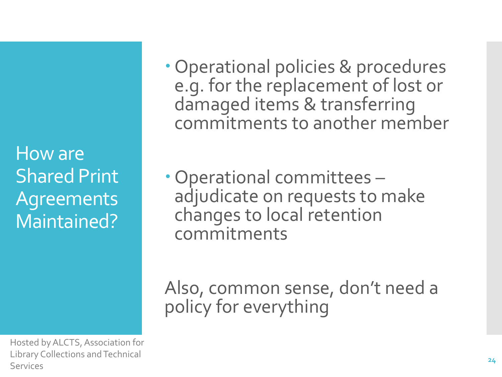How are Shared Print Agreements Maintained?

Hosted by ALCTS, Association for Library Collections and Technical Services

- Operational policies & procedures e.g. for the replacement of lost or damaged items & transferring commitments to another member
- Operational committees adjudicate on requests to make changes to local retention commitments

Also, common sense, don't need a policy for everything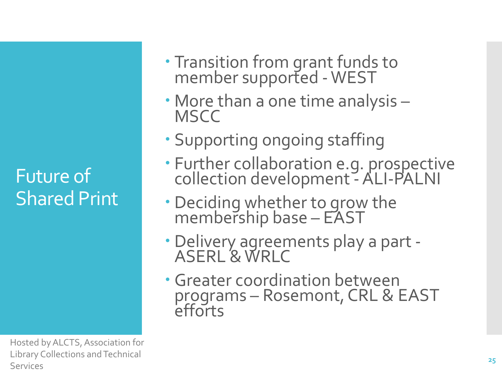Future of Shared Print

- Transition from grant funds to member supported -WEST
- More than a one time analysis **MSCC**
- Supporting ongoing staffing
- Further collaboration e.g. prospective collection development - ALI-PALNI
- Deciding whether to grow the membership base – EAST
- Delivery agreements play a part ASERL & WRLC
- Greater coordination between programs – Rosemont, CRL & EAST efforts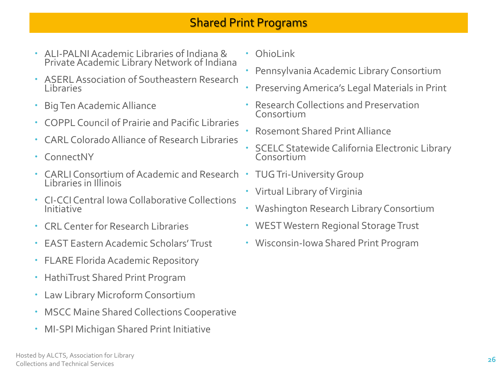### Shared Print Programs

- ALI-PALNI Academic Libraries of Indiana & Private Academic Library Network of Indiana
- ASERL Association of Southeastern Research Libraries
- Big Ten Academic Alliance
- COPPL Council of Prairie and Pacific Libraries
- CARL Colorado Alliance of Research Libraries
- ConnectNY
- Consortium •<br>CARLI Consortium of Academic and Research TUG Tri-University Group Libraries in Illinois<br>CLGCLControl low
- Creative<br>Initiative CI-CCI Central Iowa Collaborative Collections
	- CRL Center for Research Libraries
	- EAST Eastern Academic Scholars' Trust
	- FLARE Florida Academic Repository
	- HathiTrust Shared Print Program
	- Law Library Microform Consortium
	- MSCC Maine Shared Collections Cooperative
	- MI-SPI Michigan Shared Print Initiative
- Ohiol ink
- Pennsylvania Academic Library Consortium
- Preserving America's Legal Materials in Print
- Research Collections and Preservation Consortium
- Rosemont Shared Print Alliance
- SCELC Statewide California Electronic Library Consortium
- 
- Virtual Library of Virginia
- Washington Research Library Consortium
- WEST Western Regional Storage Trust
- Wisconsin-Iowa Shared Print Program